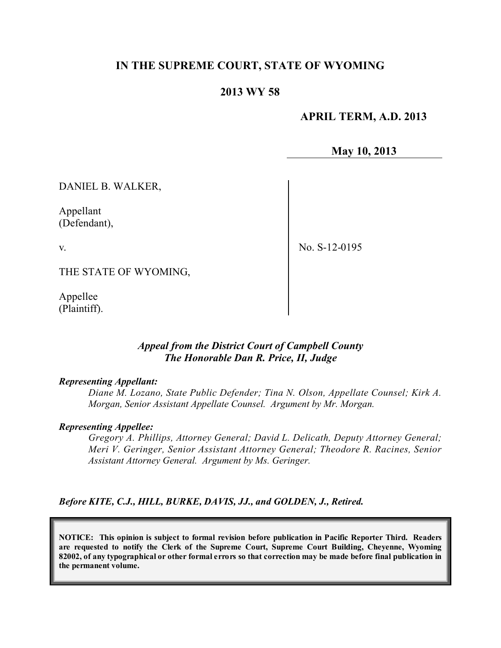## **IN THE SUPREME COURT, STATE OF WYOMING**

### **2013 WY 58**

 **APRIL TERM, A.D. 2013**

**May 10, 2013**

DANIEL B. WALKER,

Appellant (Defendant),

v.

No. S-12-0195

THE STATE OF WYOMING,

Appellee (Plaintiff).

### *Appeal from the District Court of Campbell County The Honorable Dan R. Price, II, Judge*

#### *Representing Appellant:*

*Diane M. Lozano, State Public Defender; Tina N. Olson, Appellate Counsel; Kirk A. Morgan, Senior Assistant Appellate Counsel. Argument by Mr. Morgan.*

#### *Representing Appellee:*

*Gregory A. Phillips, Attorney General; David L. Delicath, Deputy Attorney General; Meri V. Geringer, Senior Assistant Attorney General; Theodore R. Racines, Senior Assistant Attorney General. Argument by Ms. Geringer.*

*Before KITE, C.J., HILL, BURKE, DAVIS, JJ., and GOLDEN, J., Retired.*

**NOTICE: This opinion is subject to formal revision before publication in Pacific Reporter Third. Readers are requested to notify the Clerk of the Supreme Court, Supreme Court Building, Cheyenne, Wyoming** 82002, of any typographical or other formal errors so that correction may be made before final publication in **the permanent volume.**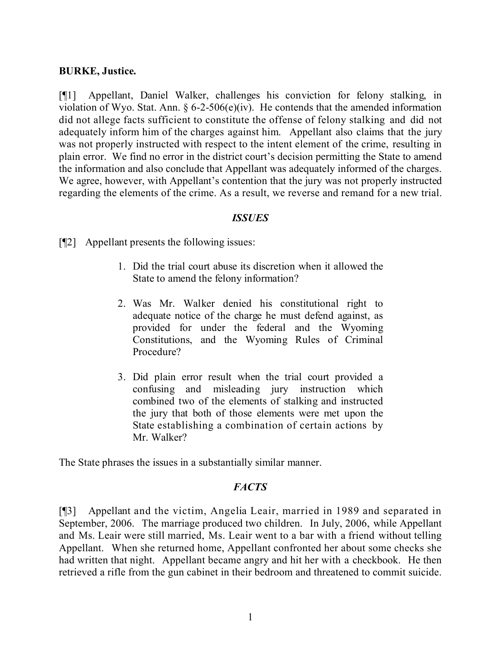### **BURKE, Justice.**

[¶1] Appellant, Daniel Walker, challenges his conviction for felony stalking, in violation of Wyo. Stat. Ann.  $\S 6$ -2-506(e)(iv). He contends that the amended information did not allege facts sufficient to constitute the offense of felony stalking and did not adequately inform him of the charges against him. Appellant also claims that the jury was not properly instructed with respect to the intent element of the crime, resulting in plain error. We find no error in the district court's decision permitting the State to amend the information and also conclude that Appellant was adequately informed of the charges. We agree, however, with Appellant's contention that the jury was not properly instructed regarding the elements of the crime. As a result, we reverse and remand for a new trial.

### *ISSUES*

[¶2] Appellant presents the following issues:

- 1. Did the trial court abuse its discretion when it allowed the State to amend the felony information?
- 2. Was Mr. Walker denied his constitutional right to adequate notice of the charge he must defend against, as provided for under the federal and the Wyoming Constitutions, and the Wyoming Rules of Criminal Procedure?
- 3. Did plain error result when the trial court provided a confusing and misleading jury instruction which combined two of the elements of stalking and instructed the jury that both of those elements were met upon the State establishing a combination of certain actions by Mr. Walker?

The State phrases the issues in a substantially similar manner.

### *FACTS*

[¶3] Appellant and the victim, Angelia Leair, married in 1989 and separated in September, 2006. The marriage produced two children. In July, 2006, while Appellant and Ms. Leair were still married, Ms. Leair went to a bar with a friend without telling Appellant. When she returned home, Appellant confronted her about some checks she had written that night. Appellant became angry and hit her with a checkbook. He then retrieved a rifle from the gun cabinet in their bedroom and threatened to commit suicide.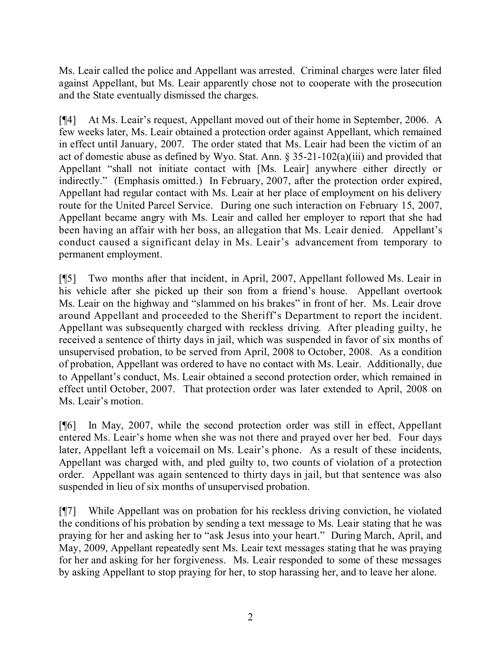Ms. Leair called the police and Appellant was arrested. Criminal charges were later filed against Appellant, but Ms. Leair apparently chose not to cooperate with the prosecution and the State eventually dismissed the charges.

[¶4] At Ms. Leair's request, Appellant moved out of their home in September, 2006. A few weeks later, Ms. Leair obtained a protection order against Appellant, which remained in effect until January, 2007. The order stated that Ms. Leair had been the victim of an act of domestic abuse as defined by Wyo. Stat. Ann. § 35-21-102(a)(iii) and provided that Appellant "shall not initiate contact with [Ms. Leair] anywhere either directly or indirectly." (Emphasis omitted.) In February, 2007, after the protection order expired, Appellant had regular contact with Ms. Leair at her place of employment on his delivery route for the United Parcel Service. During one such interaction on February 15, 2007, Appellant became angry with Ms. Leair and called her employer to report that she had been having an affair with her boss, an allegation that Ms. Leair denied. Appellant's conduct caused a significant delay in Ms. Leair's advancement from temporary to permanent employment.

[¶5] Two months after that incident, in April, 2007, Appellant followed Ms. Leair in his vehicle after she picked up their son from a friend's house. Appellant overtook Ms. Leair on the highway and "slammed on his brakes" in front of her. Ms. Leair drove around Appellant and proceeded to the Sheriff's Department to report the incident. Appellant was subsequently charged with reckless driving. After pleading guilty, he received a sentence of thirty days in jail, which was suspended in favor of six months of unsupervised probation, to be served from April, 2008 to October, 2008. As a condition of probation, Appellant was ordered to have no contact with Ms. Leair. Additionally, due to Appellant's conduct, Ms. Leair obtained a second protection order, which remained in effect until October, 2007. That protection order was later extended to April, 2008 on Ms. Leair's motion.

[¶6] In May, 2007, while the second protection order was still in effect, Appellant entered Ms. Leair's home when she was not there and prayed over her bed. Four days later, Appellant left a voicemail on Ms. Leair's phone. As a result of these incidents, Appellant was charged with, and pled guilty to, two counts of violation of a protection order. Appellant was again sentenced to thirty days in jail, but that sentence was also suspended in lieu of six months of unsupervised probation.

[¶7] While Appellant was on probation for his reckless driving conviction, he violated the conditions of his probation by sending a text message to Ms. Leair stating that he was praying for her and asking her to "ask Jesus into your heart." During March, April, and May, 2009, Appellant repeatedly sent Ms. Leair text messages stating that he was praying for her and asking for her forgiveness. Ms. Leair responded to some of these messages by asking Appellant to stop praying for her, to stop harassing her, and to leave her alone.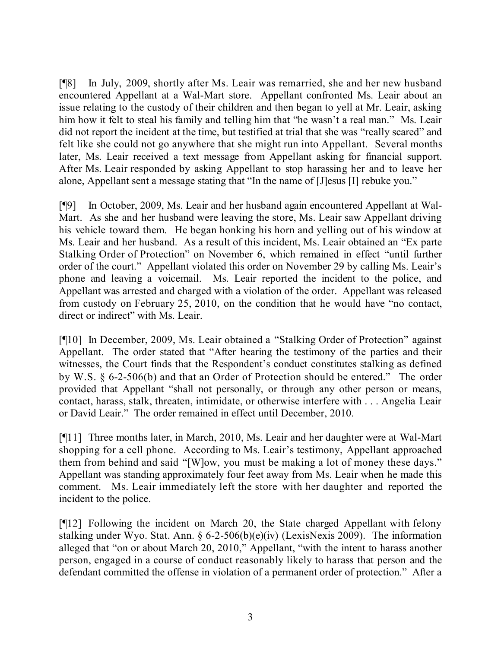[¶8] In July, 2009, shortly after Ms. Leair was remarried, she and her new husband encountered Appellant at a Wal-Mart store. Appellant confronted Ms. Leair about an issue relating to the custody of their children and then began to yell at Mr. Leair, asking him how it felt to steal his family and telling him that "he wasn't a real man." Ms. Leair did not report the incident at the time, but testified at trial that she was "really scared" and felt like she could not go anywhere that she might run into Appellant. Several months later, Ms. Leair received a text message from Appellant asking for financial support. After Ms. Leair responded by asking Appellant to stop harassing her and to leave her alone, Appellant sent a message stating that "In the name of [J]esus [I] rebuke you."

[¶9] In October, 2009, Ms. Leair and her husband again encountered Appellant at Wal-Mart. As she and her husband were leaving the store, Ms. Leair saw Appellant driving his vehicle toward them. He began honking his horn and yelling out of his window at Ms. Leair and her husband. As a result of this incident, Ms. Leair obtained an "Ex parte Stalking Order of Protection" on November 6, which remained in effect "until further order of the court." Appellant violated this order on November 29 by calling Ms. Leair's phone and leaving a voicemail. Ms. Leair reported the incident to the police, and Appellant was arrested and charged with a violation of the order. Appellant was released from custody on February 25, 2010, on the condition that he would have "no contact, direct or indirect" with Ms. Leair.

[¶10] In December, 2009, Ms. Leair obtained a "Stalking Order of Protection" against Appellant. The order stated that "After hearing the testimony of the parties and their witnesses, the Court finds that the Respondent's conduct constitutes stalking as defined by W.S. § 6-2-506(b) and that an Order of Protection should be entered." The order provided that Appellant "shall not personally, or through any other person or means, contact, harass, stalk, threaten, intimidate, or otherwise interfere with . . . Angelia Leair or David Leair." The order remained in effect until December, 2010.

[¶11] Three months later, in March, 2010, Ms. Leair and her daughter were at Wal-Mart shopping for a cell phone. According to Ms. Leair's testimony, Appellant approached them from behind and said "[W]ow, you must be making a lot of money these days." Appellant was standing approximately four feet away from Ms. Leair when he made this comment. Ms. Leair immediately left the store with her daughter and reported the incident to the police.

[¶12] Following the incident on March 20, the State charged Appellant with felony stalking under Wyo. Stat. Ann. § 6-2-506(b)(e)(iv) (LexisNexis 2009). The information alleged that "on or about March 20, 2010," Appellant, "with the intent to harass another person, engaged in a course of conduct reasonably likely to harass that person and the defendant committed the offense in violation of a permanent order of protection." After a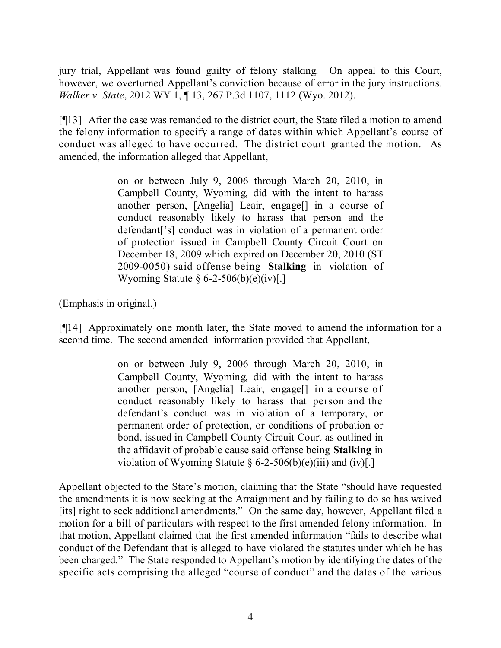jury trial, Appellant was found guilty of felony stalking. On appeal to this Court, however, we overturned Appellant's conviction because of error in the jury instructions. *Walker v. State*, 2012 WY 1, ¶ 13, 267 P.3d 1107, 1112 (Wyo. 2012).

[¶13] After the case was remanded to the district court, the State filed a motion to amend the felony information to specify a range of dates within which Appellant's course of conduct was alleged to have occurred. The district court granted the motion. As amended, the information alleged that Appellant,

> on or between July 9, 2006 through March 20, 2010, in Campbell County, Wyoming, did with the intent to harass another person, [Angelia] Leair, engage[] in a course of conduct reasonably likely to harass that person and the defendant['s] conduct was in violation of a permanent order of protection issued in Campbell County Circuit Court on December 18, 2009 which expired on December 20, 2010 (ST 2009-0050) said offense being **Stalking** in violation of Wyoming Statute  $\S 6-2-506(b)(e)(iv)$ .

(Emphasis in original.)

[¶14] Approximately one month later, the State moved to amend the information for a second time. The second amended information provided that Appellant,

> on or between July 9, 2006 through March 20, 2010, in Campbell County, Wyoming, did with the intent to harass another person, [Angelia] Leair, engage[] in a course of conduct reasonably likely to harass that person and the defendant's conduct was in violation of a temporary, or permanent order of protection, or conditions of probation or bond, issued in Campbell County Circuit Court as outlined in the affidavit of probable cause said offense being **Stalking** in violation of Wyoming Statute  $\S 6-2-506(b)(e)(iii)$  and  $(iv)[.]$

Appellant objected to the State's motion, claiming that the State "should have requested the amendments it is now seeking at the Arraignment and by failing to do so has waived [its] right to seek additional amendments." On the same day, however, Appellant filed a motion for a bill of particulars with respect to the first amended felony information. In that motion, Appellant claimed that the first amended information "fails to describe what conduct of the Defendant that is alleged to have violated the statutes under which he has been charged." The State responded to Appellant's motion by identifying the dates of the specific acts comprising the alleged "course of conduct" and the dates of the various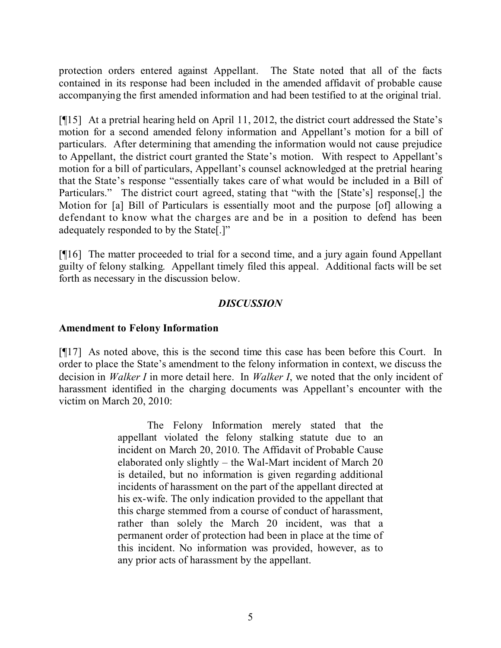protection orders entered against Appellant. The State noted that all of the facts contained in its response had been included in the amended affidavit of probable cause accompanying the first amended information and had been testified to at the original trial.

[¶15] At a pretrial hearing held on April 11, 2012, the district court addressed the State's motion for a second amended felony information and Appellant's motion for a bill of particulars. After determining that amending the information would not cause prejudice to Appellant, the district court granted the State's motion. With respect to Appellant's motion for a bill of particulars, Appellant's counsel acknowledged at the pretrial hearing that the State's response "essentially takes care of what would be included in a Bill of Particulars." The district court agreed, stating that "with the [State's] response,] the Motion for [a] Bill of Particulars is essentially moot and the purpose [of] allowing a defendant to know what the charges are and be in a position to defend has been adequately responded to by the State[.]"

[¶16] The matter proceeded to trial for a second time, and a jury again found Appellant guilty of felony stalking. Appellant timely filed this appeal. Additional facts will be set forth as necessary in the discussion below.

### *DISCUSSION*

## **Amendment to Felony Information**

[¶17] As noted above, this is the second time this case has been before this Court. In order to place the State's amendment to the felony information in context, we discuss the decision in *Walker I* in more detail here. In *Walker I*, we noted that the only incident of harassment identified in the charging documents was Appellant's encounter with the victim on March 20, 2010:

> The Felony Information merely stated that the appellant violated the felony stalking statute due to an incident on March 20, 2010. The Affidavit of Probable Cause elaborated only slightly – the Wal-Mart incident of March 20 is detailed, but no information is given regarding additional incidents of harassment on the part of the appellant directed at his ex-wife. The only indication provided to the appellant that this charge stemmed from a course of conduct of harassment, rather than solely the March 20 incident, was that a permanent order of protection had been in place at the time of this incident. No information was provided, however, as to any prior acts of harassment by the appellant.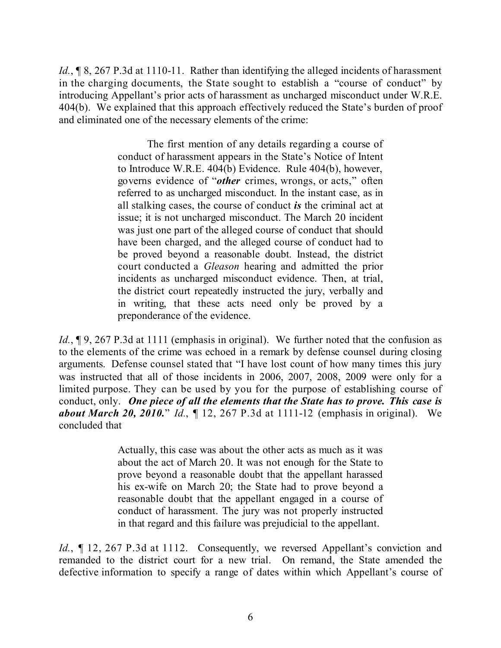Id.,  $\sqrt{\frac{1}{2}}$  8, 267 P.3d at 1110-11. Rather than identifying the alleged incidents of harassment in the charging documents, the State sought to establish a "course of conduct" by introducing Appellant's prior acts of harassment as uncharged misconduct under W.R.E. 404(b). We explained that this approach effectively reduced the State's burden of proof and eliminated one of the necessary elements of the crime:

> The first mention of any details regarding a course of conduct of harassment appears in the State's Notice of Intent to Introduce W.R.E. 404(b) Evidence. Rule 404(b), however, governs evidence of "*other* crimes, wrongs, or acts," often referred to as uncharged misconduct. In the instant case, as in all stalking cases, the course of conduct *is* the criminal act at issue; it is not uncharged misconduct. The March 20 incident was just one part of the alleged course of conduct that should have been charged, and the alleged course of conduct had to be proved beyond a reasonable doubt. Instead, the district court conducted a *Gleason* hearing and admitted the prior incidents as uncharged misconduct evidence. Then, at trial, the district court repeatedly instructed the jury, verbally and in writing, that these acts need only be proved by a preponderance of the evidence.

*Id.*, **[9, 267 P.3d at 1111 (emphasis in original).** We further noted that the confusion as to the elements of the crime was echoed in a remark by defense counsel during closing arguments. Defense counsel stated that "I have lost count of how many times this jury was instructed that all of those incidents in 2006, 2007, 2008, 2009 were only for a limited purpose. They can be used by you for the purpose of establishing course of conduct, only. *One piece of all the elements that the State has to prove. This case is about March 20, 2010.*" *Id.*, ¶ 12, 267 P.3d at 1111-12 (emphasis in original). We concluded that

> Actually, this case was about the other acts as much as it was about the act of March 20. It was not enough for the State to prove beyond a reasonable doubt that the appellant harassed his ex-wife on March 20; the State had to prove beyond a reasonable doubt that the appellant engaged in a course of conduct of harassment. The jury was not properly instructed in that regard and this failure was prejudicial to the appellant.

*Id.*, 12, 267 P.3d at 1112. Consequently, we reversed Appellant's conviction and remanded to the district court for a new trial. On remand, the State amended the defective information to specify a range of dates within which Appellant's course of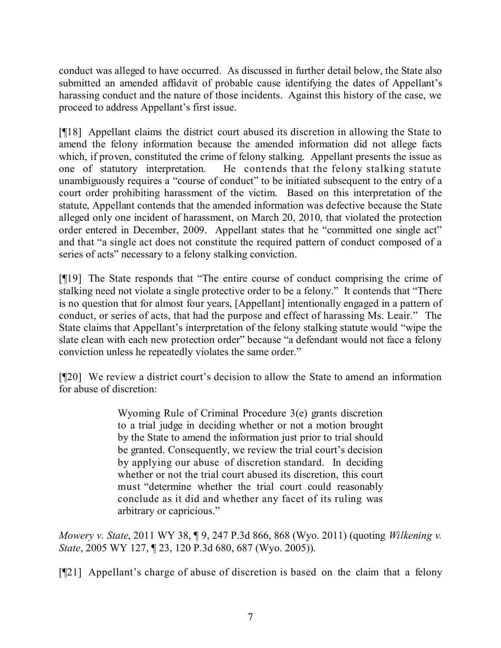conduct was alleged to have occurred. As discussed in further detail below, the State also submitted an amended affidavit of probable cause identifying the dates of Appellant's harassing conduct and the nature of those incidents. Against this history of the case, we proceed to address Appellant's first issue.

[¶18] Appellant claims the district court abused its discretion in allowing the State to amend the felony information because the amended information did not allege facts which, if proven, constituted the crime of felony stalking. Appellant presents the issue as one of statutory interpretation. He contends that the felony stalking statute unambiguously requires a "course of conduct" to be initiated subsequent to the entry of a court order prohibiting harassment of the victim. Based on this interpretation of the statute, Appellant contends that the amended information was defective because the State alleged only one incident of harassment, on March 20, 2010, that violated the protection order entered in December, 2009. Appellant states that he "committed one single act" and that "a single act does not constitute the required pattern of conduct composed of a series of acts" necessary to a felony stalking conviction.

[¶19] The State responds that "The entire course of conduct comprising the crime of stalking need not violate a single protective order to be a felony." It contends that "There is no question that for almost four years, [Appellant] intentionally engaged in a pattern of conduct, or series of acts, that had the purpose and effect of harassing Ms. Leair." The State claims that Appellant's interpretation of the felony stalking statute would "wipe the slate clean with each new protection order" because "a defendant would not face a felony conviction unless he repeatedly violates the same order."

[¶20] We review a district court's decision to allow the State to amend an information for abuse of discretion:

> Wyoming Rule of Criminal Procedure 3(e) grants discretion to a trial judge in deciding whether or not a motion brought by the State to amend the information just prior to trial should be granted. Consequently, we review the trial court's decision by applying our abuse of discretion standard. In deciding whether or not the trial court abused its discretion, this court must "determine whether the trial court could reasonably conclude as it did and whether any facet of its ruling was arbitrary or capricious."

*Mowery v. State*, 2011 WY 38, ¶ 9, 247 P.3d 866, 868 (Wyo. 2011) (quoting *Wilkening v. State*, 2005 WY 127, ¶ 23, 120 P.3d 680, 687 (Wyo. 2005)).

[¶21] Appellant's charge of abuse of discretion is based on the claim that a felony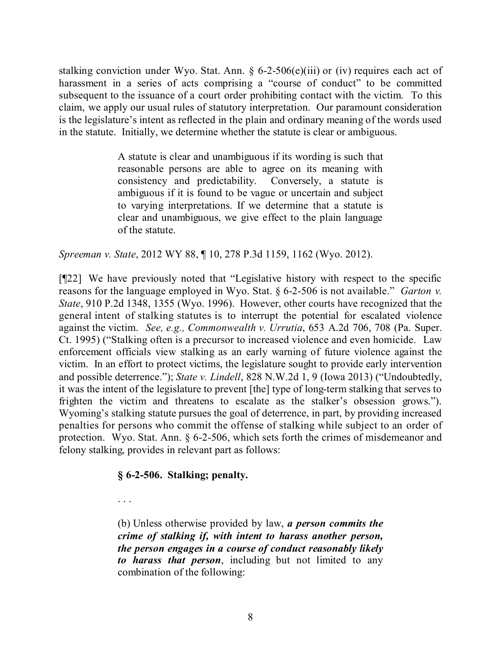stalking conviction under Wyo. Stat. Ann.  $\S 6$ -2-506(e)(iii) or (iv) requires each act of harassment in a series of acts comprising a "course of conduct" to be committed subsequent to the issuance of a court order prohibiting contact with the victim. To this claim, we apply our usual rules of statutory interpretation. Our paramount consideration is the legislature's intent as reflected in the plain and ordinary meaning of the words used in the statute. Initially, we determine whether the statute is clear or ambiguous.

> A statute is clear and unambiguous if its wording is such that reasonable persons are able to agree on its meaning with consistency and predictability. Conversely, a statute is ambiguous if it is found to be vague or uncertain and subject to varying interpretations. If we determine that a statute is clear and unambiguous, we give effect to the plain language of the statute.

*Spreeman v. State*, 2012 WY 88, ¶ 10, 278 P.3d 1159, 1162 (Wyo. 2012).

[¶22] We have previously noted that "Legislative history with respect to the specific reasons for the language employed in Wyo. Stat. § 6-2-506 is not available." *Garton v. State*, 910 P.2d 1348, 1355 (Wyo. 1996). However, other courts have recognized that the general intent of stalking statutes is to interrupt the potential for escalated violence against the victim. *See, e.g., Commonwealth v. Urrutia*, 653 A.2d 706, 708 (Pa. Super. Ct. 1995) ("Stalking often is a precursor to increased violence and even homicide. Law enforcement officials view stalking as an early warning of future violence against the victim. In an effort to protect victims, the legislature sought to provide early intervention and possible deterrence."); *State v. Lindell*, 828 N.W.2d 1, 9 (Iowa 2013) ("Undoubtedly, it was the intent of the legislature to prevent [the] type of long-term stalking that serves to frighten the victim and threatens to escalate as the stalker's obsession grows."). Wyoming's stalking statute pursues the goal of deterrence, in part, by providing increased penalties for persons who commit the offense of stalking while subject to an order of protection. Wyo. Stat. Ann. § 6-2-506, which sets forth the crimes of misdemeanor and felony stalking, provides in relevant part as follows:

### **§ 6-2-506. Stalking; penalty.**

. . .

(b) Unless otherwise provided by law, *a person commits the crime of stalking if, with intent to harass another person, the person engages in a course of conduct reasonably likely to harass that person*, including but not limited to any combination of the following: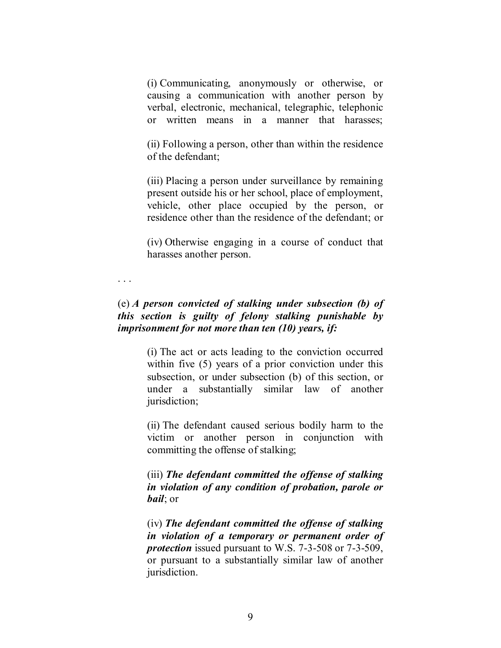(i) Communicating, anonymously or otherwise, or causing a communication with another person by verbal, electronic, mechanical, telegraphic, telephonic or written means in a manner that harasses;

(ii) Following a person, other than within the residence of the defendant;

(iii) Placing a person under surveillance by remaining present outside his or her school, place of employment, vehicle, other place occupied by the person, or residence other than the residence of the defendant; or

(iv) Otherwise engaging in a course of conduct that harasses another person.

. . .

# (e) *A person convicted of stalking under subsection (b) of this section is guilty of felony stalking punishable by imprisonment for not more than ten (10) years, if:*

(i) The act or acts leading to the conviction occurred within five (5) years of a prior conviction under this subsection, or under subsection (b) of this section, or under a substantially similar law of another jurisdiction;

(ii) The defendant caused serious bodily harm to the victim or another person in conjunction with committing the offense of stalking;

(iii) *The defendant committed the offense of stalking in violation of any condition of probation, parole or bail*; or

(iv) *The defendant committed the offense of stalking in violation of a temporary or permanent order of protection* issued pursuant to W.S. 7-3-508 or 7-3-509, or pursuant to a substantially similar law of another jurisdiction.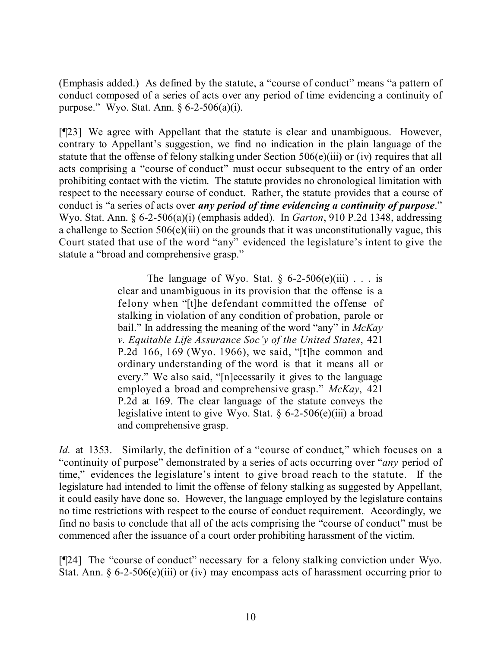(Emphasis added.) As defined by the statute, a "course of conduct" means "a pattern of conduct composed of a series of acts over any period of time evidencing a continuity of purpose." Wyo. Stat. Ann. § 6-2-506(a)(i).

[¶23] We agree with Appellant that the statute is clear and unambiguous. However, contrary to Appellant's suggestion, we find no indication in the plain language of the statute that the offense of felony stalking under Section 506(e)(iii) or (iv) requires that all acts comprising a "course of conduct" must occur subsequent to the entry of an order prohibiting contact with the victim. The statute provides no chronological limitation with respect to the necessary course of conduct. Rather, the statute provides that a course of conduct is "a series of acts over *any period of time evidencing a continuity of purpose*." Wyo. Stat. Ann. § 6-2-506(a)(i) (emphasis added). In *Garton*, 910 P.2d 1348, addressing a challenge to Section 506(e)(iii) on the grounds that it was unconstitutionally vague, this Court stated that use of the word "any" evidenced the legislature's intent to give the statute a "broad and comprehensive grasp."

> The language of Wyo. Stat.  $\S$  6-2-506(e)(iii) . . . is clear and unambiguous in its provision that the offense is a felony when "[t]he defendant committed the offense of stalking in violation of any condition of probation, parole or bail." In addressing the meaning of the word "any" in *McKay v. Equitable Life Assurance Soc'y of the United States*, 421 P.2d 166, 169 (Wyo. 1966), we said, "[t]he common and ordinary understanding of the word is that it means all or every." We also said, "[n]ecessarily it gives to the language employed a broad and comprehensive grasp." *McKay*, 421 P.2d at 169. The clear language of the statute conveys the legislative intent to give Wyo. Stat.  $\S 6-2-506(e)$ (iii) a broad and comprehensive grasp.

*Id.* at 1353. Similarly, the definition of a "course of conduct," which focuses on a "continuity of purpose" demonstrated by a series of acts occurring over "*any* period of time," evidences the legislature's intent to give broad reach to the statute. If the legislature had intended to limit the offense of felony stalking as suggested by Appellant, it could easily have done so. However, the language employed by the legislature contains no time restrictions with respect to the course of conduct requirement. Accordingly, we find no basis to conclude that all of the acts comprising the "course of conduct" must be commenced after the issuance of a court order prohibiting harassment of the victim.

[¶24] The "course of conduct" necessary for a felony stalking conviction under Wyo. Stat. Ann.  $\S 6$ -2-506(e)(iii) or (iv) may encompass acts of harassment occurring prior to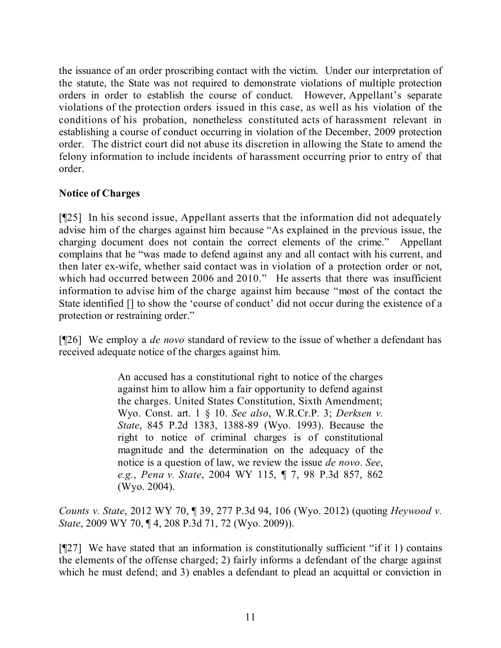the issuance of an order proscribing contact with the victim. Under our interpretation of the statute, the State was not required to demonstrate violations of multiple protection orders in order to establish the course of conduct. However, Appellant's separate violations of the protection orders issued in this case, as well as his violation of the conditions of his probation, nonetheless constituted acts of harassment relevant in establishing a course of conduct occurring in violation of the December, 2009 protection order. The district court did not abuse its discretion in allowing the State to amend the felony information to include incidents of harassment occurring prior to entry of that order.

# **Notice of Charges**

[¶25] In his second issue, Appellant asserts that the information did not adequately advise him of the charges against him because "As explained in the previous issue, the charging document does not contain the correct elements of the crime." Appellant complains that he "was made to defend against any and all contact with his current, and then later ex-wife, whether said contact was in violation of a protection order or not, which had occurred between 2006 and 2010." He asserts that there was insufficient information to advise him of the charge against him because "most of the contact the State identified [] to show the 'course of conduct' did not occur during the existence of a protection or restraining order."

[¶26] We employ a *de novo* standard of review to the issue of whether a defendant has received adequate notice of the charges against him.

> An accused has a constitutional right to notice of the charges against him to allow him a fair opportunity to defend against the charges. United States Constitution, Sixth Amendment; Wyo. Const. art. 1 § 10. *See also*, W.R.Cr.P. 3; *Derksen v. State*, 845 P.2d 1383, 1388-89 (Wyo. 1993). Because the right to notice of criminal charges is of constitutional magnitude and the determination on the adequacy of the notice is a question of law, we review the issue *de novo*. *See*, *e.g.*, *Pena v. State*, 2004 WY 115, ¶ 7, 98 P.3d 857, 862 (Wyo. 2004).

*Counts v. State*, 2012 WY 70, ¶ 39, 277 P.3d 94, 106 (Wyo. 2012) (quoting *Heywood v. State*, 2009 WY 70, ¶ 4, 208 P.3d 71, 72 (Wyo. 2009)).

[¶27] We have stated that an information is constitutionally sufficient "if it 1) contains the elements of the offense charged; 2) fairly informs a defendant of the charge against which he must defend; and 3) enables a defendant to plead an acquittal or conviction in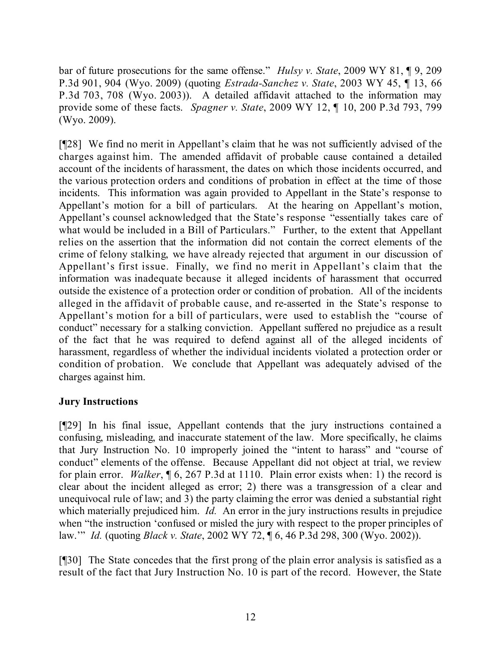bar of future prosecutions for the same offense." *Hulsy v. State*, 2009 WY 81, ¶ 9, 209 P.3d 901, 904 (Wyo. 2009) (quoting *Estrada-Sanchez v. State*, 2003 WY 45, ¶ 13, 66 P.3d 703, 708 (Wyo. 2003)). A detailed affidavit attached to the information may provide some of these facts. *Spagner v. State*, 2009 WY 12, ¶ 10, 200 P.3d 793, 799 (Wyo. 2009).

[¶28] We find no merit in Appellant's claim that he was not sufficiently advised of the charges against him. The amended affidavit of probable cause contained a detailed account of the incidents of harassment, the dates on which those incidents occurred, and the various protection orders and conditions of probation in effect at the time of those incidents. This information was again provided to Appellant in the State's response to Appellant's motion for a bill of particulars. At the hearing on Appellant's motion, Appellant's counsel acknowledged that the State's response "essentially takes care of what would be included in a Bill of Particulars." Further, to the extent that Appellant relies on the assertion that the information did not contain the correct elements of the crime of felony stalking, we have already rejected that argument in our discussion of Appellant's first issue. Finally, we find no merit in Appellant's claim that the information was inadequate because it alleged incidents of harassment that occurred outside the existence of a protection order or condition of probation. All of the incidents alleged in the affidavit of probable cause, and re-asserted in the State's response to Appellant's motion for a bill of particulars, were used to establish the "course of conduct" necessary for a stalking conviction. Appellant suffered no prejudice as a result of the fact that he was required to defend against all of the alleged incidents of harassment, regardless of whether the individual incidents violated a protection order or condition of probation. We conclude that Appellant was adequately advised of the charges against him.

## **Jury Instructions**

[¶29] In his final issue, Appellant contends that the jury instructions contained a confusing, misleading, and inaccurate statement of the law. More specifically, he claims that Jury Instruction No. 10 improperly joined the "intent to harass" and "course of conduct" elements of the offense. Because Appellant did not object at trial, we review for plain error. *Walker*, ¶ 6, 267 P.3d at 1110. Plain error exists when: 1) the record is clear about the incident alleged as error; 2) there was a transgression of a clear and unequivocal rule of law; and 3) the party claiming the error was denied a substantial right which materially prejudiced him. *Id.* An error in the jury instructions results in prejudice when "the instruction 'confused or misled the jury with respect to the proper principles of law.'" *Id.* (quoting *Black v. State*, 2002 WY 72, ¶ 6, 46 P.3d 298, 300 (Wyo. 2002)).

[¶30] The State concedes that the first prong of the plain error analysis is satisfied as a result of the fact that Jury Instruction No. 10 is part of the record. However, the State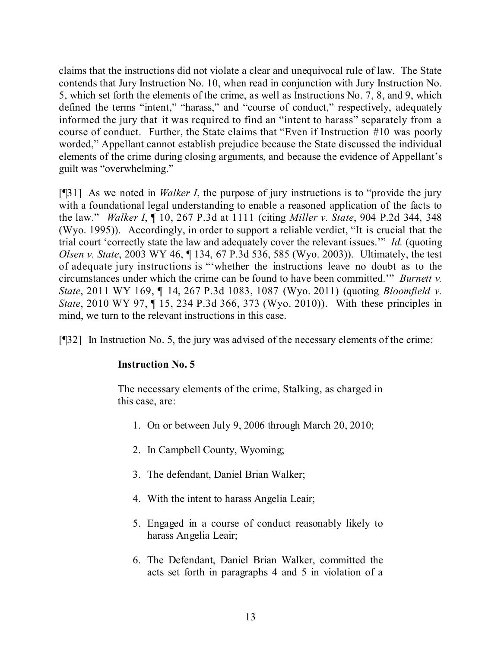claims that the instructions did not violate a clear and unequivocal rule of law. The State contends that Jury Instruction No. 10, when read in conjunction with Jury Instruction No. 5, which set forth the elements of the crime, as well as Instructions No. 7, 8, and 9, which defined the terms "intent," "harass," and "course of conduct," respectively, adequately informed the jury that it was required to find an "intent to harass" separately from a course of conduct. Further, the State claims that "Even if Instruction #10 was poorly worded," Appellant cannot establish prejudice because the State discussed the individual elements of the crime during closing arguments, and because the evidence of Appellant's guilt was "overwhelming."

[¶31] As we noted in *Walker I*, the purpose of jury instructions is to "provide the jury with a foundational legal understanding to enable a reasoned application of the facts to the law." *Walker I*, ¶ 10, 267 P.3d at 1111 (citing *Miller v. State*, 904 P.2d 344, 348 (Wyo. 1995)). Accordingly, in order to support a reliable verdict, "It is crucial that the trial court 'correctly state the law and adequately cover the relevant issues.'" *Id.* (quoting *Olsen v. State*, 2003 WY 46, ¶ 134, 67 P.3d 536, 585 (Wyo. 2003)). Ultimately, the test of adequate jury instructions is "'whether the instructions leave no doubt as to the circumstances under which the crime can be found to have been committed.'" *Burnett v. State*, 2011 WY 169, ¶ 14, 267 P.3d 1083, 1087 (Wyo. 2011) (quoting *Bloomfield v. State*, 2010 WY 97, ¶ 15, 234 P.3d 366, 373 (Wyo. 2010)). With these principles in mind, we turn to the relevant instructions in this case.

[¶32] In Instruction No. 5, the jury was advised of the necessary elements of the crime:

## **Instruction No. 5**

The necessary elements of the crime, Stalking, as charged in this case, are:

- 1. On or between July 9, 2006 through March 20, 2010;
- 2. In Campbell County, Wyoming;
- 3. The defendant, Daniel Brian Walker;
- 4. With the intent to harass Angelia Leair;
- 5. Engaged in a course of conduct reasonably likely to harass Angelia Leair;
- 6. The Defendant, Daniel Brian Walker, committed the acts set forth in paragraphs 4 and 5 in violation of a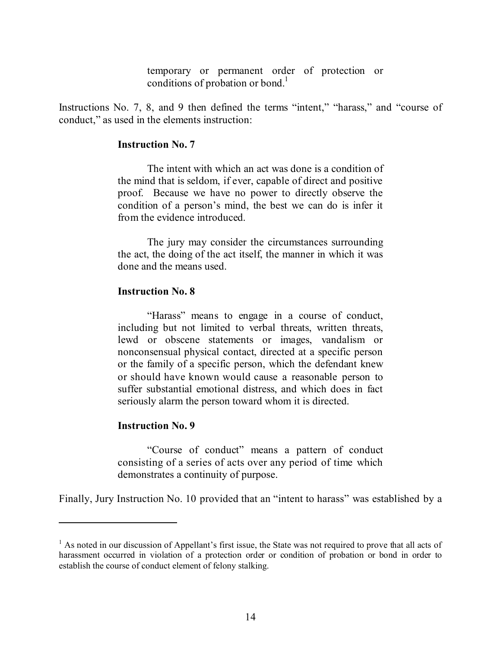temporary or permanent order of protection or conditions of probation or bond. 1

Instructions No. 7, 8, and 9 then defined the terms "intent," "harass," and "course of conduct," as used in the elements instruction:

#### **Instruction No. 7**

The intent with which an act was done is a condition of the mind that is seldom, if ever, capable of direct and positive proof. Because we have no power to directly observe the condition of a person's mind, the best we can do is infer it from the evidence introduced.

The jury may consider the circumstances surrounding the act, the doing of the act itself, the manner in which it was done and the means used.

#### **Instruction No. 8**

"Harass" means to engage in a course of conduct, including but not limited to verbal threats, written threats, lewd or obscene statements or images, vandalism or nonconsensual physical contact, directed at a specific person or the family of a specific person, which the defendant knew or should have known would cause a reasonable person to suffer substantial emotional distress, and which does in fact seriously alarm the person toward whom it is directed.

#### **Instruction No. 9**

"Course of conduct" means a pattern of conduct consisting of a series of acts over any period of time which demonstrates a continuity of purpose.

Finally, Jury Instruction No. 10 provided that an "intent to harass" was established by a

<sup>&</sup>lt;sup>1</sup> As noted in our discussion of Appellant's first issue, the State was not required to prove that all acts of harassment occurred in violation of a protection order or condition of probation or bond in order to establish the course of conduct element of felony stalking.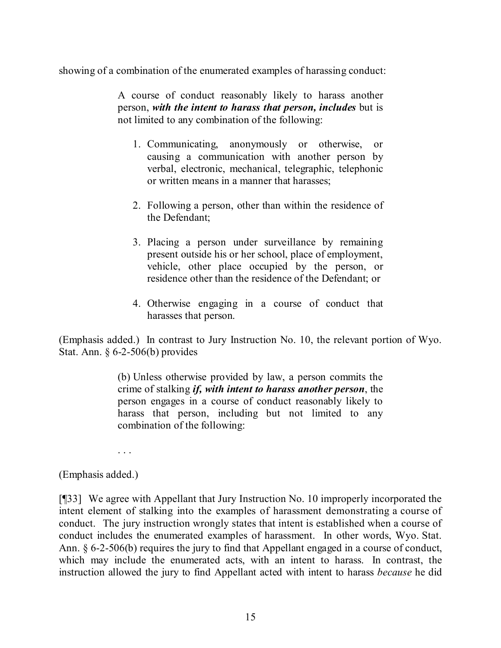showing of a combination of the enumerated examples of harassing conduct:

A course of conduct reasonably likely to harass another person, *with the intent to harass that person, includes* but is not limited to any combination of the following:

- 1. Communicating, anonymously or otherwise, or causing a communication with another person by verbal, electronic, mechanical, telegraphic, telephonic or written means in a manner that harasses;
- 2. Following a person, other than within the residence of the Defendant;
- 3. Placing a person under surveillance by remaining present outside his or her school, place of employment, vehicle, other place occupied by the person, or residence other than the residence of the Defendant; or
- 4. Otherwise engaging in a course of conduct that harasses that person.

(Emphasis added.) In contrast to Jury Instruction No. 10, the relevant portion of Wyo. Stat. Ann. § 6-2-506(b) provides

> (b) Unless otherwise provided by law, a person commits the crime of stalking *if, with intent to harass another person*, the person engages in a course of conduct reasonably likely to harass that person, including but not limited to any combination of the following:

. . .

## (Emphasis added.)

[¶33] We agree with Appellant that Jury Instruction No. 10 improperly incorporated the intent element of stalking into the examples of harassment demonstrating a course of conduct. The jury instruction wrongly states that intent is established when a course of conduct includes the enumerated examples of harassment. In other words, Wyo. Stat. Ann. § 6-2-506(b) requires the jury to find that Appellant engaged in a course of conduct, which may include the enumerated acts, with an intent to harass. In contrast, the instruction allowed the jury to find Appellant acted with intent to harass *because* he did